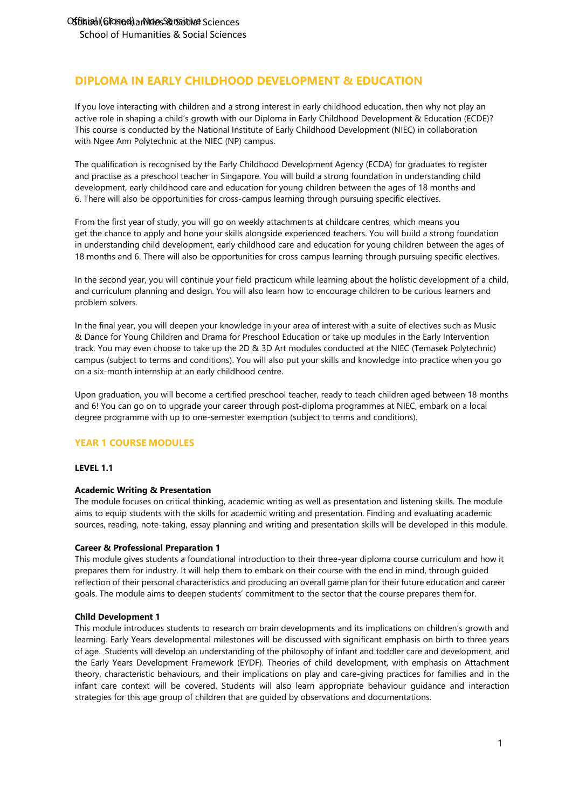# **DIPLOMA IN EARLY CHILDHOOD DEVELOPMENT & EDUCATION**

If you love interacting with children and a strong interest in early childhood education, then why not play an active role in shaping a child's growth with our Diploma in Early Childhood Development & Education (ECDE)? This course is conducted by the National Institute of Early Childhood Development (NIEC) in collaboration with Ngee Ann Polytechnic at the NIEC (NP) campus.

The qualification is recognised by the Early Childhood Development Agency (ECDA) for graduates to register and practise as a preschool teacher in Singapore. You will build a strong foundation in understanding child development, early childhood care and education for young children between the ages of 18 months and 6. There will also be opportunities for cross-campus learning through pursuing specific electives.

From the first year of study, you will go on weekly attachments at childcare centres, which means you get the chance to apply and hone your skills alongside experienced teachers. You will build a strong foundation in understanding child development, early childhood care and education for young children between the ages of 18 months and 6. There will also be opportunities for cross campus learning through pursuing specific electives.

In the second year, you will continue your field practicum while learning about the holistic development of a child, and curriculum planning and design. You will also learn how to encourage children to be curious learners and problem solvers.

In the final year, you will deepen your knowledge in your area of interest with a suite of electives such as Music & Dance for Young Children and Drama for Preschool Education or take up modules in the Early Intervention track. You may even choose to take up the 2D & 3D Art modules conducted at the NIEC (Temasek Polytechnic) campus (subject to terms and conditions). You will also put your skills and knowledge into practice when you go on a six-month internship at an early childhood centre.

Upon graduation, you will become a certified preschool teacher, ready to teach children aged between 18 months and 6! You can go on to upgrade your career through post-diploma programmes at NIEC, embark on a local degree programme with up to one-semester exemption (subject to terms and conditions).

## **YEAR 1 COURSE MODULES**

### **LEVEL 1.1**

### **Academic Writing & Presentation**

The module focuses on critical thinking, academic writing as well as presentation and listening skills. The module aims to equip students with the skills for academic writing and presentation. Finding and evaluating academic sources, reading, note-taking, essay planning and writing and presentation skills will be developed in this module.

### **Career & Professional Preparation 1**

This module gives students a foundational introduction to their three-year diploma course curriculum and how it prepares them for industry. It will help them to embark on their course with the end in mind, through guided reflection of their personal characteristics and producing an overall game plan for their future education and career goals. The module aims to deepen students' commitment to the sector that the course prepares them for.

### **Child Development 1**

This module introduces students to research on brain developments and its implications on children's growth and learning. Early Years developmental milestones will be discussed with significant emphasis on birth to three years of age. Students will develop an understanding of the philosophy of infant and toddler care and development, and the Early Years Development Framework (EYDF). Theories of child development, with emphasis on Attachment theory, characteristic behaviours, and their implications on play and care-giving practices for families and in the infant care context will be covered. Students will also learn appropriate behaviour guidance and interaction strategies for this age group of children that are guided by observations and documentations.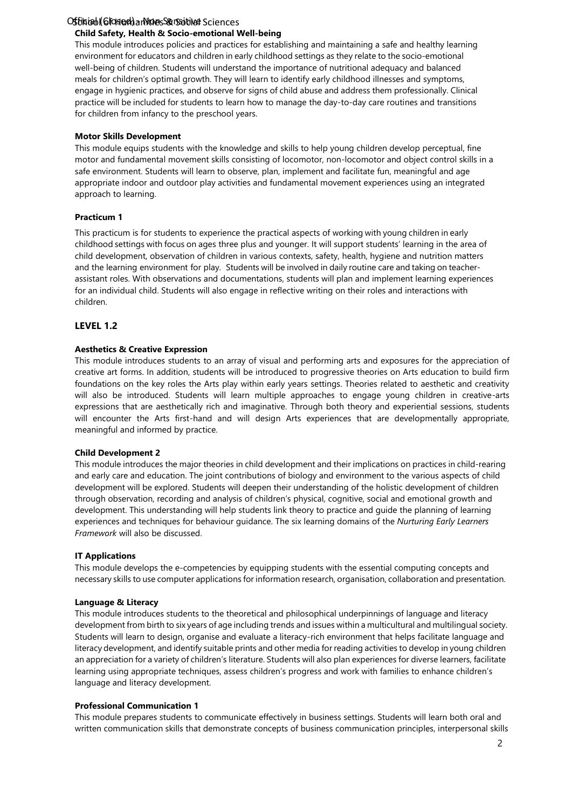# Offiniabl(Glosed) antiques & Social Sciences

### **Child Safety, Health & Socio-emotional Well-being**

This module introduces policies and practices for establishing and maintaining a safe and healthy learning environment for educators and children in early childhood settings as they relate to the socio-emotional well-being of children. Students will understand the importance of nutritional adequacy and balanced meals for children's optimal growth. They will learn to identify early childhood illnesses and symptoms, engage in hygienic practices, and observe for signs of child abuse and address them professionally. Clinical practice will be included for students to learn how to manage the day-to-day care routines and transitions for children from infancy to the preschool years.

### **Motor Skills Development**

This module equips students with the knowledge and skills to help young children develop perceptual, fine motor and fundamental movement skills consisting of locomotor, non-locomotor and object control skills in a safe environment. Students will learn to observe, plan, implement and facilitate fun, meaningful and age appropriate indoor and outdoor play activities and fundamental movement experiences using an integrated approach to learning.

### **Practicum 1**

This practicum is for students to experience the practical aspects of working with young children in early childhood settings with focus on ages three plus and younger. It will support students' learning in the area of child development, observation of children in various contexts, safety, health, hygiene and nutrition matters and the learning environment for play. Students will be involved in daily routine care and taking on teacherassistant roles. With observations and documentations, students will plan and implement learning experiences for an individual child. Students will also engage in reflective writing on their roles and interactions with children.

### **LEVEL 1.2**

#### **Aesthetics & Creative Expression**

This module introduces students to an array of visual and performing arts and exposures for the appreciation of creative art forms. In addition, students will be introduced to progressive theories on Arts education to build firm foundations on the key roles the Arts play within early years settings. Theories related to aesthetic and creativity will also be introduced. Students will learn multiple approaches to engage young children in creative-arts expressions that are aesthetically rich and imaginative. Through both theory and experiential sessions, students will encounter the Arts first-hand and will design Arts experiences that are developmentally appropriate, meaningful and informed by practice.

#### **Child Development 2**

This module introduces the major theories in child development and their implications on practices in child-rearing and early care and education. The joint contributions of biology and environment to the various aspects of child development will be explored. Students will deepen their understanding of the holistic development of children through observation, recording and analysis of children's physical, cognitive, social and emotional growth and development. This understanding will help students link theory to practice and guide the planning of learning experiences and techniques for behaviour guidance. The six learning domains of the *Nurturing Early Learners Framework* will also be discussed.

#### **IT Applications**

This module develops the e-competencies by equipping students with the essential computing concepts and necessary skills to use computer applications for information research, organisation, collaboration and presentation.

#### **Language & Literacy**

This module introduces students to the theoretical and philosophical underpinnings of language and literacy development from birth to six years of age including trends and issues within a multicultural and multilingual society. Students will learn to design, organise and evaluate a literacy-rich environment that helps facilitate language and literacy development, and identify suitable prints and other media for reading activities to develop in young children an appreciation for a variety of children's literature. Students will also plan experiences for diverse learners, facilitate learning using appropriate techniques, assess children's progress and work with families to enhance children's language and literacy development.

#### **Professional Communication 1**

This module prepares students to communicate effectively in business settings. Students will learn both oral and written communication skills that demonstrate concepts of business communication principles, interpersonal skills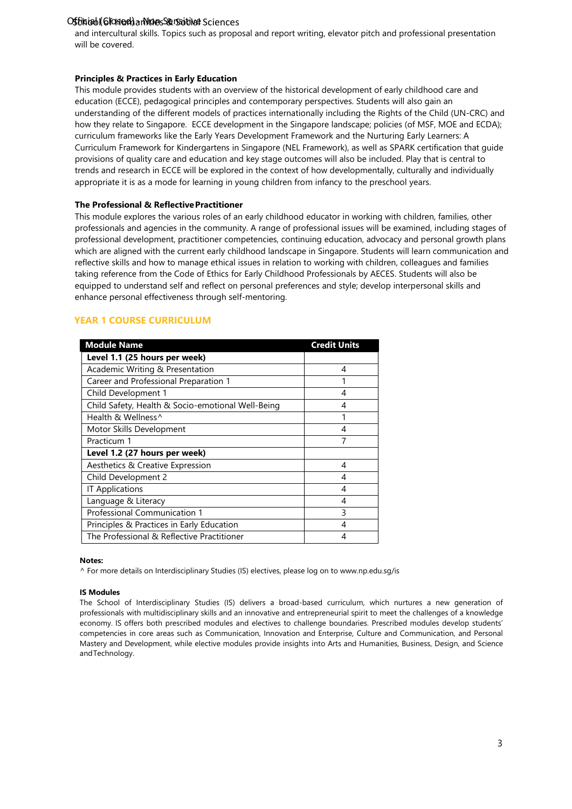# Offiniabl(Glosed) antiques & Social Sciences

and intercultural skills. Topics such as proposal and report writing, elevator pitch and professional presentation will be covered.

### **Principles & Practices in Early Education**

This module provides students with an overview of the historical development of early childhood care and education (ECCE), pedagogical principles and contemporary perspectives. Students will also gain an understanding of the different models of practices internationally including the Rights of the Child (UN-CRC) and how they relate to Singapore. ECCE development in the Singapore landscape; policies (of MSF, MOE and ECDA); curriculum frameworks like the Early Years Development Framework and the Nurturing Early Learners: A Curriculum Framework for Kindergartens in Singapore (NEL Framework), as well as SPARK certification that guide provisions of quality care and education and key stage outcomes will also be included. Play that is central to trends and research in ECCE will be explored in the context of how developmentally, culturally and individually appropriate it is as a mode for learning in young children from infancy to the preschool years.

### **The Professional & ReflectivePractitioner**

This module explores the various roles of an early childhood educator in working with children, families, other professionals and agencies in the community. A range of professional issues will be examined, including stages of professional development, practitioner competencies, continuing education, advocacy and personal growth plans which are aligned with the current early childhood landscape in Singapore. Students will learn communication and reflective skills and how to manage ethical issues in relation to working with children, colleagues and families taking reference from the Code of Ethics for Early Childhood Professionals by AECES. Students will also be equipped to understand self and reflect on personal preferences and style; develop interpersonal skills and enhance personal effectiveness through self-mentoring.

## **YEAR 1 COURSE CURRICULUM**

| <b>Module Name</b>                                | <b>Credit Units</b> |
|---------------------------------------------------|---------------------|
| Level 1.1 (25 hours per week)                     |                     |
| Academic Writing & Presentation                   | 4                   |
| Career and Professional Preparation 1             |                     |
| Child Development 1                               | 4                   |
| Child Safety, Health & Socio-emotional Well-Being | 4                   |
| Health & Wellness^                                | 1                   |
| Motor Skills Development                          | 4                   |
| Practicum 1                                       |                     |
| Level 1.2 (27 hours per week)                     |                     |
| Aesthetics & Creative Expression                  | 4                   |
| Child Development 2                               | 4                   |
| <b>IT Applications</b>                            | 4                   |
| Language & Literacy                               | 4                   |
| Professional Communication 1                      | 3                   |
| Principles & Practices in Early Education         | 4                   |
| The Professional & Reflective Practitioner        | 4                   |

#### **Notes:**

^ For more details on Interdisciplinary Studies (IS) electives, please log on to [www.np.edu.sg/is](http://www.np.edu.sg/is)

### **IS Modules**

The School of Interdisciplinary Studies (IS) delivers a broad-based curriculum, which nurtures a new generation of professionals with multidisciplinary skills and an innovative and entrepreneurial spirit to meet the challenges of a knowledge economy. IS offers both prescribed modules and electives to challenge boundaries. Prescribed modules develop students' competencies in core areas such as Communication, Innovation and Enterprise, Culture and Communication, and Personal Mastery and Development, while elective modules provide insights into Arts and Humanities, Business, Design, and Science andTechnology.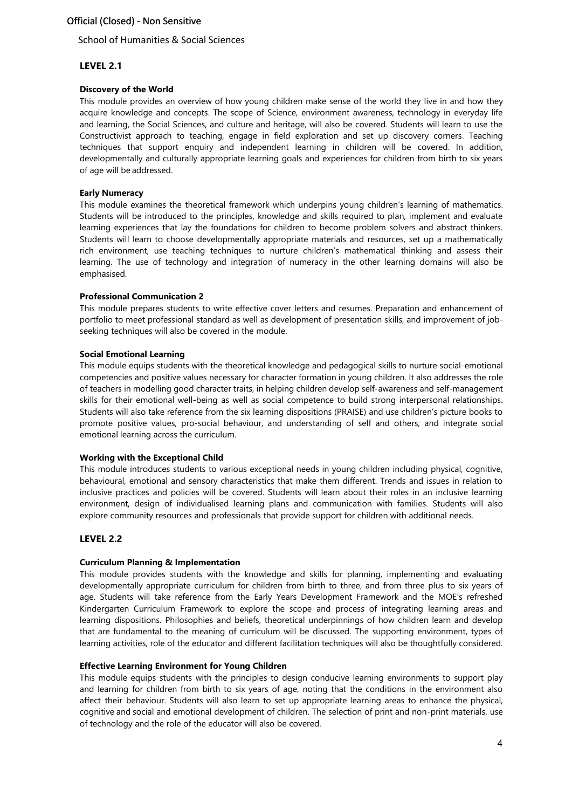### School of Humanities & Social Sciences

## **LEVEL 2.1**

### **Discovery of the World**

This module provides an overview of how young children make sense of the world they live in and how they acquire knowledge and concepts. The scope of Science, environment awareness, technology in everyday life and learning, the Social Sciences, and culture and heritage, will also be covered. Students will learn to use the Constructivist approach to teaching, engage in field exploration and set up discovery corners. Teaching techniques that support enquiry and independent learning in children will be covered. In addition, developmentally and culturally appropriate learning goals and experiences for children from birth to six years of age will be addressed.

### **Early Numeracy**

This module examines the theoretical framework which underpins young children's learning of mathematics. Students will be introduced to the principles, knowledge and skills required to plan, implement and evaluate learning experiences that lay the foundations for children to become problem solvers and abstract thinkers. Students will learn to choose developmentally appropriate materials and resources, set up a mathematically rich environment, use teaching techniques to nurture children's mathematical thinking and assess their learning. The use of technology and integration of numeracy in the other learning domains will also be emphasised.

### **Professional Communication 2**

This module prepares students to write effective cover letters and resumes. Preparation and enhancement of portfolio to meet professional standard as well as development of presentation skills, and improvement of jobseeking techniques will also be covered in the module.

### **Social Emotional Learning**

This module equips students with the theoretical knowledge and pedagogical skills to nurture social-emotional competencies and positive values necessary for character formation in young children. It also addresses the role of teachers in modelling good character traits, in helping children develop self-awareness and self-management skills for their emotional well-being as well as social competence to build strong interpersonal relationships. Students will also take reference from the six learning dispositions (PRAISE) and use children's picture books to promote positive values, pro-social behaviour, and understanding of self and others; and integrate social emotional learning across the curriculum.

### **Working with the Exceptional Child**

This module introduces students to various exceptional needs in young children including physical, cognitive, behavioural, emotional and sensory characteristics that make them different. Trends and issues in relation to inclusive practices and policies will be covered. Students will learn about their roles in an inclusive learning environment, design of individualised learning plans and communication with families. Students will also explore community resources and professionals that provide support for children with additional needs.

### **LEVEL 2.2**

### **Curriculum Planning & Implementation**

This module provides students with the knowledge and skills for planning, implementing and evaluating developmentally appropriate curriculum for children from birth to three, and from three plus to six years of age. Students will take reference from the Early Years Development Framework and the MOE's refreshed Kindergarten Curriculum Framework to explore the scope and process of integrating learning areas and learning dispositions. Philosophies and beliefs, theoretical underpinnings of how children learn and develop that are fundamental to the meaning of curriculum will be discussed. The supporting environment, types of learning activities, role of the educator and different facilitation techniques will also be thoughtfully considered.

### **Effective Learning Environment for Young Children**

This module equips students with the principles to design conducive learning environments to support play and learning for children from birth to six years of age, noting that the conditions in the environment also affect their behaviour. Students will also learn to set up appropriate learning areas to enhance the physical, cognitive and social and emotional development of children. The selection of print and non-print materials, use of technology and the role of the educator will also be covered.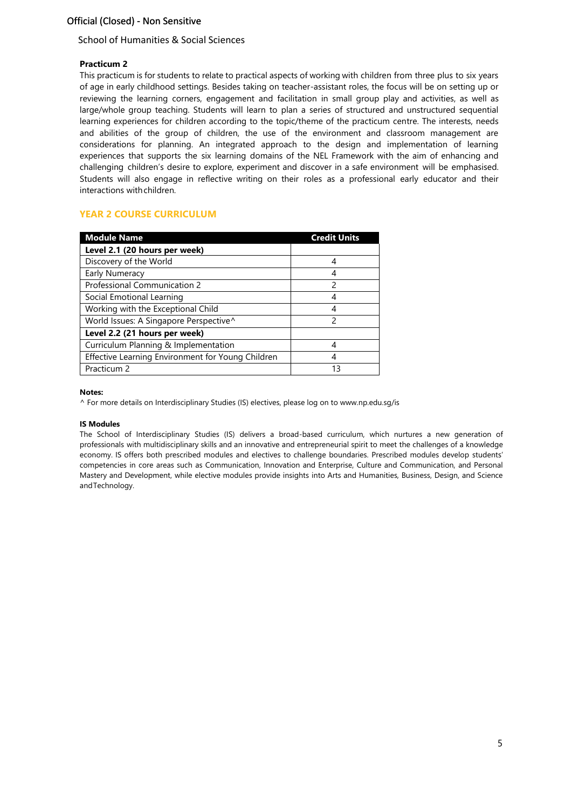## School of Humanities & Social Sciences

## **Practicum 2**

This practicum is for students to relate to practical aspects of working with children from three plus to six years of age in early childhood settings. Besides taking on teacher-assistant roles, the focus will be on setting up or reviewing the learning corners, engagement and facilitation in small group play and activities, as well as large/whole group teaching. Students will learn to plan a series of structured and unstructured sequential learning experiences for children according to the topic/theme of the practicum centre. The interests, needs and abilities of the group of children, the use of the environment and classroom management are considerations for planning. An integrated approach to the design and implementation of learning experiences that supports the six learning domains of the NEL Framework with the aim of enhancing and challenging children's desire to explore, experiment and discover in a safe environment will be emphasised. Students will also engage in reflective writing on their roles as a professional early educator and their interactions withchildren.

## **YEAR 2 COURSE CURRICULUM**

| <b>Module Name</b>                                | <b>Credit Units</b> |
|---------------------------------------------------|---------------------|
| Level 2.1 (20 hours per week)                     |                     |
| Discovery of the World                            |                     |
| Early Numeracy                                    | 4                   |
| Professional Communication 2                      | 2                   |
| Social Emotional Learning                         |                     |
| Working with the Exceptional Child                |                     |
| World Issues: A Singapore Perspective^            | 2                   |
| Level 2.2 (21 hours per week)                     |                     |
| Curriculum Planning & Implementation              |                     |
| Effective Learning Environment for Young Children |                     |
| Practicum 2                                       | 13                  |

### **Notes:**

^ For more details on Interdisciplinary Studies (IS) electives, please log on to [www.np.edu.sg/is](http://www.np.edu.sg/is)

### **IS Modules**

The School of Interdisciplinary Studies (IS) delivers a broad-based curriculum, which nurtures a new generation of professionals with multidisciplinary skills and an innovative and entrepreneurial spirit to meet the challenges of a knowledge economy. IS offers both prescribed modules and electives to challenge boundaries. Prescribed modules develop students' competencies in core areas such as Communication, Innovation and Enterprise, Culture and Communication, and Personal Mastery and Development, while elective modules provide insights into Arts and Humanities, Business, Design, and Science andTechnology.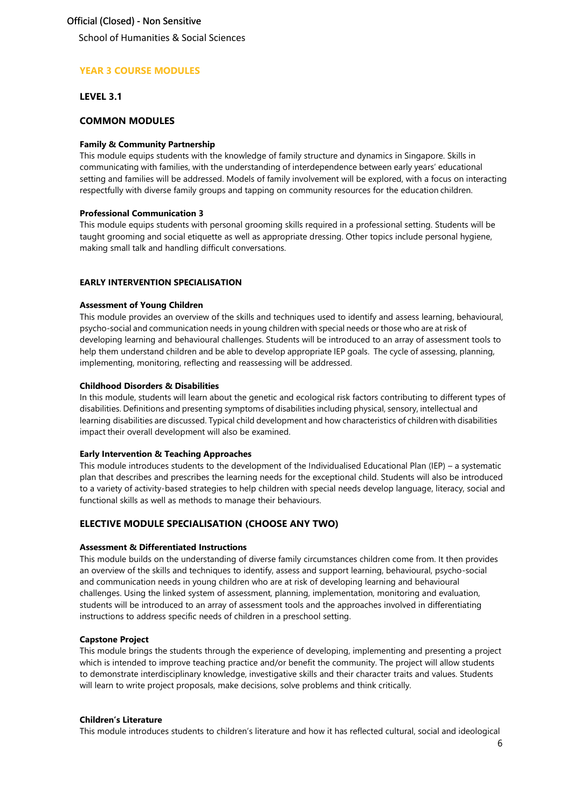School of Humanities & Social Sciences

## **YEAR 3 COURSE MODULES**

### **LEVEL 3.1**

### **COMMON MODULES**

### **Family & Community Partnership**

This module equips students with the knowledge of family structure and dynamics in Singapore. Skills in communicating with families, with the understanding of interdependence between early years' educational setting and families will be addressed. Models of family involvement will be explored, with a focus on interacting respectfully with diverse family groups and tapping on community resources for the education children.

### **Professional Communication 3**

This module equips students with personal grooming skills required in a professional setting. Students will be taught grooming and social etiquette as well as appropriate dressing. Other topics include personal hygiene, making small talk and handling difficult conversations.

### **EARLY INTERVENTION SPECIALISATION**

### **Assessment of Young Children**

This module provides an overview of the skills and techniques used to identify and assess learning, behavioural, psycho-social and communication needs in young children with special needs or those who are at risk of developing learning and behavioural challenges. Students will be introduced to an array of assessment tools to help them understand children and be able to develop appropriate IEP goals. The cycle of assessing, planning, implementing, monitoring, reflecting and reassessing will be addressed.

### **Childhood Disorders & Disabilities**

In this module, students will learn about the genetic and ecological risk factors contributing to different types of disabilities. Definitions and presenting symptoms of disabilities including physical, sensory, intellectual and learning disabilities are discussed. Typical child development and how characteristics of children with disabilities impact their overall development will also be examined.

### **Early Intervention & Teaching Approaches**

This module introduces students to the development of the Individualised Educational Plan (IEP) – a systematic plan that describes and prescribes the learning needs for the exceptional child. Students will also be introduced to a variety of activity-based strategies to help children with special needs develop language, literacy, social and functional skills as well as methods to manage their behaviours.

### **ELECTIVE MODULE SPECIALISATION (CHOOSE ANY TWO)**

### **Assessment & Differentiated Instructions**

This module builds on the understanding of diverse family circumstances children come from. It then provides an overview of the skills and techniques to identify, assess and support learning, behavioural, psycho-social and communication needs in young children who are at risk of developing learning and behavioural challenges. Using the linked system of assessment, planning, implementation, monitoring and evaluation, students will be introduced to an array of assessment tools and the approaches involved in differentiating instructions to address specific needs of children in a preschool setting.

### **Capstone Project**

This module brings the students through the experience of developing, implementing and presenting a project which is intended to improve teaching practice and/or benefit the community. The project will allow students to demonstrate interdisciplinary knowledge, investigative skills and their character traits and values. Students will learn to write project proposals, make decisions, solve problems and think critically.

### **Children's Literature**

This module introduces students to children's literature and how it has reflected cultural, social and ideological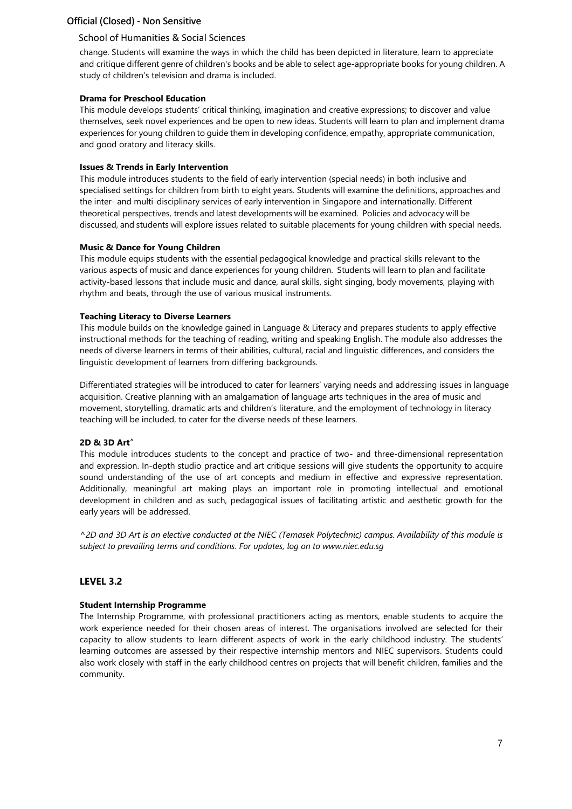### School of Humanities & Social Sciences

change. Students will examine the ways in which the child has been depicted in literature, learn to appreciate and critique different genre of children's books and be able to select age-appropriate books for young children. A study of children's television and drama is included.

### **Drama for Preschool Education**

This module develops students' critical thinking, imagination and creative expressions; to discover and value themselves, seek novel experiences and be open to new ideas. Students will learn to plan and implement drama experiences for young children to guide them in developing confidence, empathy, appropriate communication, and good oratory and literacy skills.

### **Issues & Trends in Early Intervention**

This module introduces students to the field of early intervention (special needs) in both inclusive and specialised settings for children from birth to eight years. Students will examine the definitions, approaches and the inter- and multi-disciplinary services of early intervention in Singapore and internationally. Different theoretical perspectives, trends and latest developments will be examined. Policies and advocacy will be discussed, and students will explore issues related to suitable placements for young children with special needs.

### **Music & Dance for Young Children**

This module equips students with the essential pedagogical knowledge and practical skills relevant to the various aspects of music and dance experiences for young children. Students will learn to plan and facilitate activity-based lessons that include music and dance, aural skills, sight singing, body movements, playing with rhythm and beats, through the use of various musical instruments.

### **Teaching Literacy to Diverse Learners**

This module builds on the knowledge gained in Language & Literacy and prepares students to apply effective instructional methods for the teaching of reading, writing and speaking English. The module also addresses the needs of diverse learners in terms of their abilities, cultural, racial and linguistic differences, and considers the linguistic development of learners from differing backgrounds.

Differentiated strategies will be introduced to cater for learners' varying needs and addressing issues in language acquisition. Creative planning with an amalgamation of language arts techniques in the area of music and movement, storytelling, dramatic arts and children's literature, and the employment of technology in literacy teaching will be included, to cater for the diverse needs of these learners.

### **2D & 3D Art^**

This module introduces students to the concept and practice of two- and three-dimensional representation and expression. In-depth studio practice and art critique sessions will give students the opportunity to acquire sound understanding of the use of art concepts and medium in effective and expressive representation. Additionally, meaningful art making plays an important role in promoting intellectual and emotional development in children and as such, pedagogical issues of facilitating artistic and aesthetic growth for the early years will be addressed.

*^2D and 3D Art is an elective conducted at the NIEC (Temasek Polytechnic) campus. Availability of this module is subject to prevailing terms and conditions. For updates, log on to www.niec.edu.sg*

### **LEVEL 3.2**

### **Student Internship Programme**

The Internship Programme, with professional practitioners acting as mentors, enable students to acquire the work experience needed for their chosen areas of interest. The organisations involved are selected for their capacity to allow students to learn different aspects of work in the early childhood industry. The students' learning outcomes are assessed by their respective internship mentors and NIEC supervisors. Students could also work closely with staff in the early childhood centres on projects that will benefit children, families and the community.